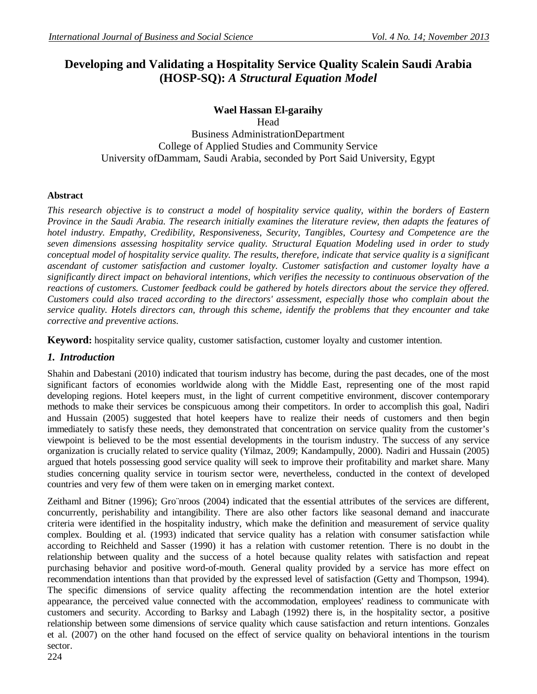# **Developing and Validating a Hospitality Service Quality Scalein Saudi Arabia (HOSP-SQ):** *A Structural Equation Model*

## **Wael Hassan El-garaihy**

Head Business AdministrationDepartment College of Applied Studies and Community Service University ofDammam, Saudi Arabia, seconded by Port Said University, Egypt

## **Abstract**

*This research objective is to construct a model of hospitality service quality, within the borders of Eastern Province in the Saudi Arabia. The research initially examines the literature review, then adapts the features of hotel industry. Empathy, Credibility, Responsiveness, Security, Tangibles, Courtesy and Competence are the seven dimensions assessing hospitality service quality. Structural Equation Modeling used in order to study conceptual model of hospitality service quality. The results, therefore, indicate that service quality is a significant ascendant of customer satisfaction and customer loyalty. Customer satisfaction and customer loyalty have a significantly direct impact on behavioral intentions, which verifies the necessity to continuous observation of the reactions of customers. Customer feedback could be gathered by hotels directors about the service they offered. Customers could also traced according to the directors' assessment, especially those who complain about the service quality. Hotels directors can, through this scheme, identify the problems that they encounter and take corrective and preventive actions.*

**Keyword:** hospitality service quality, customer satisfaction, customer loyalty and customer intention.

## *1. Introduction*

Shahin and Dabestani (2010) indicated that tourism industry has become, during the past decades, one of the most significant factors of economies worldwide along with the Middle East, representing one of the most rapid developing regions. Hotel keepers must, in the light of current competitive environment, discover contemporary methods to make their services be conspicuous among their competitors. In order to accomplish this goal, Nadiri and Hussain (2005) suggested that hotel keepers have to realize their needs of customers and then begin immediately to satisfy these needs, they demonstrated that concentration on service quality from the customer's viewpoint is believed to be the most essential developments in the tourism industry. The success of any service organization is crucially related to service quality (Yilmaz, 2009; Kandampully, 2000). Nadiri and Hussain (2005) argued that hotels possessing good service quality will seek to improve their profitability and market share. Many studies concerning quality service in tourism sector were, nevertheless, conducted in the context of developed countries and very few of them were taken on in emerging market context.

Zeithaml and Bitner (1996); Gro¨nroos (2004) indicated that the essential attributes of the services are different, concurrently, perishability and intangibility. There are also other factors like seasonal demand and inaccurate criteria were identified in the hospitality industry, which make the definition and measurement of service quality complex. Boulding et al. (1993) indicated that service quality has a relation with consumer satisfaction while according to Reichheld and Sasser (1990) it has a relation with customer retention. There is no doubt in the relationship between quality and the success of a hotel because quality relates with satisfaction and repeat purchasing behavior and positive word-of-mouth. General quality provided by a service has more effect on recommendation intentions than that provided by the expressed level of satisfaction (Getty and Thompson, 1994). The specific dimensions of service quality affecting the recommendation intention are the hotel exterior appearance, the perceived value connected with the accommodation, employees' readiness to communicate with customers and security. According to Barksy and Labagh (1992) there is, in the hospitality sector, a positive relationship between some dimensions of service quality which cause satisfaction and return intentions. Gonzales et al. (2007) on the other hand focused on the effect of service quality on behavioral intentions in the tourism sector.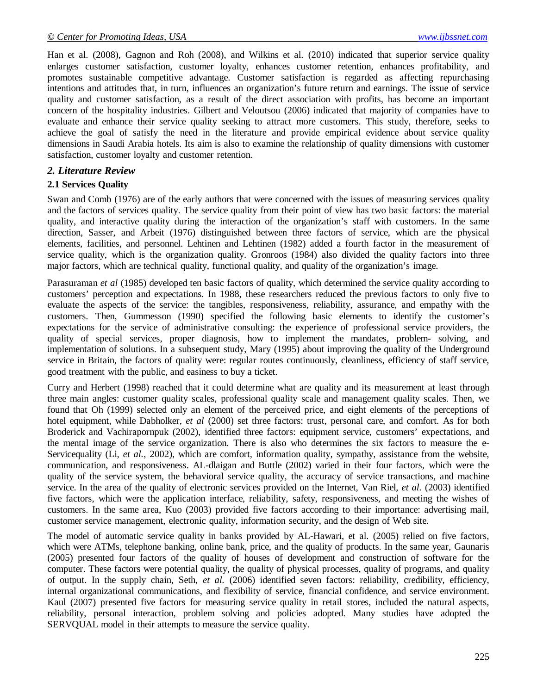Han et al. (2008), Gagnon and Roh (2008), and Wilkins et al. (2010) indicated that superior service quality enlarges customer satisfaction, customer loyalty, enhances customer retention, enhances profitability, and promotes sustainable competitive advantage. Customer satisfaction is regarded as affecting repurchasing intentions and attitudes that, in turn, influences an organization's future return and earnings. The issue of service quality and customer satisfaction, as a result of the direct association with profits, has become an important concern of the hospitality industries. Gilbert and Veloutsou (2006) indicated that majority of companies have to evaluate and enhance their service quality seeking to attract more customers. This study, therefore, seeks to achieve the goal of satisfy the need in the literature and provide empirical evidence about service quality dimensions in Saudi Arabia hotels. Its aim is also to examine the relationship of quality dimensions with customer satisfaction, customer loyalty and customer retention.

### *2. Literature Review*

### **2.1 Services Quality**

Swan and Comb (1976) are of the early authors that were concerned with the issues of measuring services quality and the factors of services quality. The service quality from their point of view has two basic factors: the material quality, and interactive quality during the interaction of the organization's staff with customers. In the same direction, Sasser, and Arbeit (1976) distinguished between three factors of service, which are the physical elements, facilities, and personnel. Lehtinen and Lehtinen (1982) added a fourth factor in the measurement of service quality, which is the organization quality. Gronroos (1984) also divided the quality factors into three major factors, which are technical quality, functional quality, and quality of the organization's image.

Parasuraman *et al* (1985) developed ten basic factors of quality, which determined the service quality according to customers' perception and expectations. In 1988, these researchers reduced the previous factors to only five to evaluate the aspects of the service: the tangibles, responsiveness, reliability, assurance, and empathy with the customers. Then, Gummesson (1990) specified the following basic elements to identify the customer's expectations for the service of administrative consulting: the experience of professional service providers, the quality of special services, proper diagnosis, how to implement the mandates, problem- solving, and implementation of solutions. In a subsequent study, Mary (1995) about improving the quality of the Underground service in Britain, the factors of quality were: regular routes continuously, cleanliness, efficiency of staff service, good treatment with the public, and easiness to buy a ticket.

Curry and Herbert (1998) reached that it could determine what are quality and its measurement at least through three main angles: customer quality scales, professional quality scale and management quality scales. Then, we found that Oh (1999) selected only an element of the perceived price, and eight elements of the perceptions of hotel equipment, while Dabholker, *et al* (2000) set three factors: trust, personal care, and comfort. As for both Broderick and Vachirapornpuk (2002), identified three factors: equipment service, customers' expectations, and the mental image of the service organization. There is also who determines the six factors to measure the e-Servicequality (Li, *et al.*, 2002), which are comfort, information quality, sympathy, assistance from the website, communication, and responsiveness. AL-dlaigan and Buttle (2002) varied in their four factors, which were the quality of the service system, the behavioral service quality, the accuracy of service transactions, and machine service. In the area of the quality of electronic services provided on the Internet, Van Riel, *et al.* (2003) identified five factors, which were the application interface, reliability, safety, responsiveness, and meeting the wishes of customers. In the same area, Kuo (2003) provided five factors according to their importance: advertising mail, customer service management, electronic quality, information security, and the design of Web site.

The model of automatic service quality in banks provided by AL-Hawari, et al. (2005) relied on five factors, which were ATMs, telephone banking, online bank, price, and the quality of products. In the same year, Gaunaris (2005) presented four factors of the quality of houses of development and construction of software for the computer. These factors were potential quality, the quality of physical processes, quality of programs, and quality of output. In the supply chain, Seth, *et al.* (2006) identified seven factors: reliability, credibility, efficiency, internal organizational communications, and flexibility of service, financial confidence, and service environment. Kaul (2007) presented five factors for measuring service quality in retail stores, included the natural aspects, reliability, personal interaction, problem solving and policies adopted. Many studies have adopted the SERVQUAL model in their attempts to measure the service quality.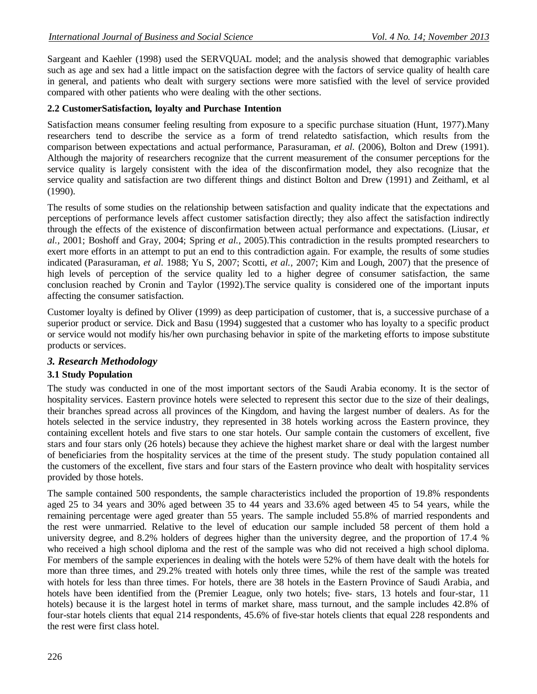Sargeant and Kaehler (1998) used the SERVQUAL model; and the analysis showed that demographic variables such as age and sex had a little impact on the satisfaction degree with the factors of service quality of health care in general, and patients who dealt with surgery sections were more satisfied with the level of service provided compared with other patients who were dealing with the other sections.

## **2.2 CustomerSatisfaction, loyalty and Purchase Intention**

Satisfaction means consumer feeling resulting from exposure to a specific purchase situation (Hunt, 1977).Many researchers tend to describe the service as a form of trend relatedto satisfaction, which results from the comparison between expectations and actual performance, Parasuraman, *et al.* (2006), Bolton and Drew (1991). Although the majority of researchers recognize that the current measurement of the consumer perceptions for the service quality is largely consistent with the idea of the disconfirmation model, they also recognize that the service quality and satisfaction are two different things and distinct Bolton and Drew (1991) and Zeithaml, et al (1990).

The results of some studies on the relationship between satisfaction and quality indicate that the expectations and perceptions of performance levels affect customer satisfaction directly; they also affect the satisfaction indirectly through the effects of the existence of disconfirmation between actual performance and expectations. (Liusar, *et al.,* 2001; Boshoff and Gray, 2004; Spring *et al.,* 2005).This contradiction in the results prompted researchers to exert more efforts in an attempt to put an end to this contradiction again. For example, the results of some studies indicated (Parasuraman, *et al.* 1988; Yu S, 2007; Scotti, *et al.,* 2007; Kim and Lough, 2007) that the presence of high levels of perception of the service quality led to a higher degree of consumer satisfaction, the same conclusion reached by Cronin and Taylor (1992).The service quality is considered one of the important inputs affecting the consumer satisfaction.

Customer loyalty is defined by Oliver (1999) as deep participation of customer, that is, a successive purchase of a superior product or service. Dick and Basu (1994) suggested that a customer who has loyalty to a specific product or service would not modify his/her own purchasing behavior in spite of the marketing efforts to impose substitute products or services.

## *3. Research Methodology*

## **3.1 Study Population**

The study was conducted in one of the most important sectors of the Saudi Arabia economy. It is the sector of hospitality services. Eastern province hotels were selected to represent this sector due to the size of their dealings, their branches spread across all provinces of the Kingdom, and having the largest number of dealers. As for the hotels selected in the service industry, they represented in 38 hotels working across the Eastern province, they containing excellent hotels and five stars to one star hotels. Our sample contain the customers of excellent, five stars and four stars only (26 hotels) because they achieve the highest market share or deal with the largest number of beneficiaries from the hospitality services at the time of the present study. The study population contained all the customers of the excellent, five stars and four stars of the Eastern province who dealt with hospitality services provided by those hotels.

The sample contained 500 respondents, the sample characteristics included the proportion of 19.8% respondents aged 25 to 34 years and 30% aged between 35 to 44 years and 33.6% aged between 45 to 54 years, while the remaining percentage were aged greater than 55 years. The sample included 55.8% of married respondents and the rest were unmarried. Relative to the level of education our sample included 58 percent of them hold a university degree, and 8.2% holders of degrees higher than the university degree, and the proportion of 17.4 % who received a high school diploma and the rest of the sample was who did not received a high school diploma. For members of the sample experiences in dealing with the hotels were 52% of them have dealt with the hotels for more than three times, and 29.2% treated with hotels only three times, while the rest of the sample was treated with hotels for less than three times. For hotels, there are 38 hotels in the Eastern Province of Saudi Arabia, and hotels have been identified from the (Premier League, only two hotels; five- stars, 13 hotels and four-star, 11 hotels) because it is the largest hotel in terms of market share, mass turnout, and the sample includes 42.8% of four-star hotels clients that equal 214 respondents, 45.6% of five-star hotels clients that equal 228 respondents and the rest were first class hotel.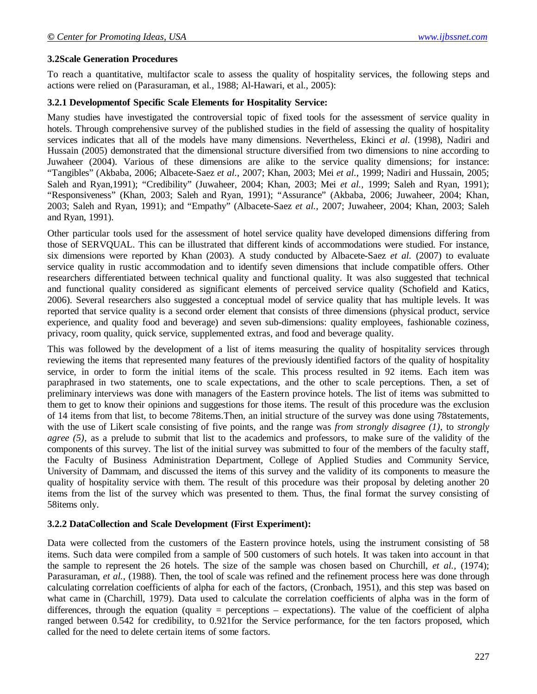#### **3.2Scale Generation Procedures**

To reach a quantitative, multifactor scale to assess the quality of hospitality services, the following steps and actions were relied on (Parasuraman, et al., 1988; Al-Hawari, et al., 2005):

#### **3.2.1 Developmentof Specific Scale Elements for Hospitality Service:**

Many studies have investigated the controversial topic of fixed tools for the assessment of service quality in hotels. Through comprehensive survey of the published studies in the field of assessing the quality of hospitality services indicates that all of the models have many dimensions. Nevertheless, Ekinci *et al.* (1998), Nadiri and Hussain (2005) demonstrated that the dimensional structure diversified from two dimensions to nine according to Juwaheer (2004). Various of these dimensions are alike to the service quality dimensions; for instance: "Tangibles" (Akbaba, 2006; Albacete-Saez *et al.,* 2007; Khan, 2003; Mei *et al.,* 1999; Nadiri and Hussain, 2005; Saleh and Ryan,1991); "Credibility" (Juwaheer, 2004; Khan, 2003; Mei *et al.,* 1999; Saleh and Ryan, 1991); "Responsiveness" (Khan, 2003; Saleh and Ryan, 1991); "Assurance" (Akbaba, 2006; Juwaheer, 2004; Khan, 2003; Saleh and Ryan, 1991); and "Empathy" (Albacete-Saez *et al.,* 2007; Juwaheer, 2004; Khan, 2003; Saleh and Ryan, 1991).

Other particular tools used for the assessment of hotel service quality have developed dimensions differing from those of SERVQUAL. This can be illustrated that different kinds of accommodations were studied. For instance, six dimensions were reported by Khan (2003). A study conducted by Albacete-Saez *et al.* (2007) to evaluate service quality in rustic accommodation and to identify seven dimensions that include compatible offers. Other researchers differentiated between technical quality and functional quality. It was also suggested that technical and functional quality considered as significant elements of perceived service quality (Schofield and Katics, 2006). Several researchers also suggested a conceptual model of service quality that has multiple levels. It was reported that service quality is a second order element that consists of three dimensions (physical product, service experience, and quality food and beverage) and seven sub-dimensions: quality employees, fashionable coziness, privacy, room quality, quick service, supplemented extras, and food and beverage quality.

This was followed by the development of a list of items measuring the quality of hospitality services through reviewing the items that represented many features of the previously identified factors of the quality of hospitality service, in order to form the initial items of the scale. This process resulted in 92 items. Each item was paraphrased in two statements, one to scale expectations, and the other to scale perceptions. Then, a set of preliminary interviews was done with managers of the Eastern province hotels. The list of items was submitted to them to get to know their opinions and suggestions for those items. The result of this procedure was the exclusion of 14 items from that list, to become 78items.Then, an initial structure of the survey was done using 78statements, with the use of Likert scale consisting of five points, and the range was *from strongly disagree (1)*, to *strongly agree (5)*, as a prelude to submit that list to the academics and professors, to make sure of the validity of the components of this survey. The list of the initial survey was submitted to four of the members of the faculty staff, the Faculty of Business Administration Department, College of Applied Studies and Community Service, University of Dammam, and discussed the items of this survey and the validity of its components to measure the quality of hospitality service with them. The result of this procedure was their proposal by deleting another 20 items from the list of the survey which was presented to them. Thus, the final format the survey consisting of 58items only.

#### **3.2.2 DataCollection and Scale Development (First Experiment):**

Data were collected from the customers of the Eastern province hotels, using the instrument consisting of 58 items. Such data were compiled from a sample of 500 customers of such hotels. It was taken into account in that the sample to represent the 26 hotels. The size of the sample was chosen based on Churchill, *et al.,* (1974); Parasuraman, *et al.,* (1988). Then, the tool of scale was refined and the refinement process here was done through calculating correlation coefficients of alpha for each of the factors, (Cronbach, 1951), and this step was based on what came in (Charchill, 1979). Data used to calculate the correlation coefficients of alpha was in the form of differences, through the equation (quality = perceptions – expectations). The value of the coefficient of alpha ranged between 0.542 for credibility, to 0.921for the Service performance, for the ten factors proposed, which called for the need to delete certain items of some factors.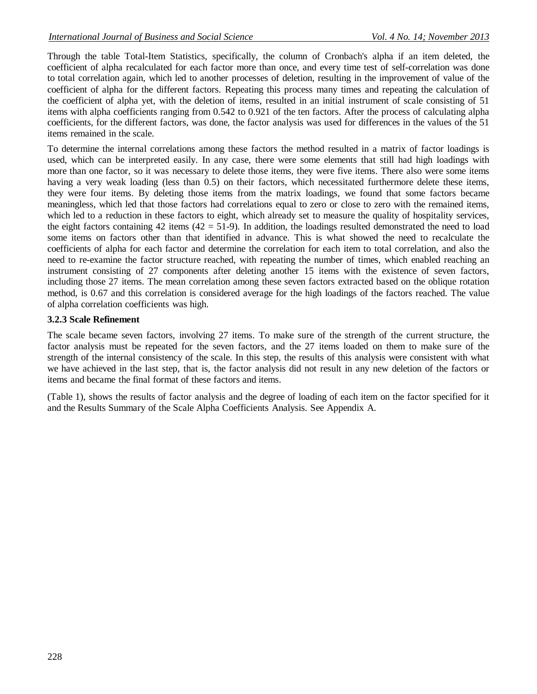Through the table Total-Item Statistics, specifically, the column of Cronbach's alpha if an item deleted, the coefficient of alpha recalculated for each factor more than once, and every time test of self-correlation was done to total correlation again, which led to another processes of deletion, resulting in the improvement of value of the coefficient of alpha for the different factors. Repeating this process many times and repeating the calculation of the coefficient of alpha yet, with the deletion of items, resulted in an initial instrument of scale consisting of 51 items with alpha coefficients ranging from 0.542 to 0.921 of the ten factors. After the process of calculating alpha coefficients, for the different factors, was done, the factor analysis was used for differences in the values of the 51 items remained in the scale.

To determine the internal correlations among these factors the method resulted in a matrix of factor loadings is used, which can be interpreted easily. In any case, there were some elements that still had high loadings with more than one factor, so it was necessary to delete those items, they were five items. There also were some items having a very weak loading (less than 0.5) on their factors, which necessitated furthermore delete these items, they were four items. By deleting those items from the matrix loadings, we found that some factors became meaningless, which led that those factors had correlations equal to zero or close to zero with the remained items, which led to a reduction in these factors to eight, which already set to measure the quality of hospitality services, the eight factors containing 42 items  $(42 = 51-9)$ . In addition, the loadings resulted demonstrated the need to load some items on factors other than that identified in advance. This is what showed the need to recalculate the coefficients of alpha for each factor and determine the correlation for each item to total correlation, and also the need to re-examine the factor structure reached, with repeating the number of times, which enabled reaching an instrument consisting of 27 components after deleting another 15 items with the existence of seven factors, including those 27 items. The mean correlation among these seven factors extracted based on the oblique rotation method, is 0.67 and this correlation is considered average for the high loadings of the factors reached. The value of alpha correlation coefficients was high.

## **3.2.3 Scale Refinement**

The scale became seven factors, involving 27 items. To make sure of the strength of the current structure, the factor analysis must be repeated for the seven factors, and the 27 items loaded on them to make sure of the strength of the internal consistency of the scale. In this step, the results of this analysis were consistent with what we have achieved in the last step, that is, the factor analysis did not result in any new deletion of the factors or items and became the final format of these factors and items.

(Table 1), shows the results of factor analysis and the degree of loading of each item on the factor specified for it and the Results Summary of the Scale Alpha Coefficients Analysis. See Appendix A.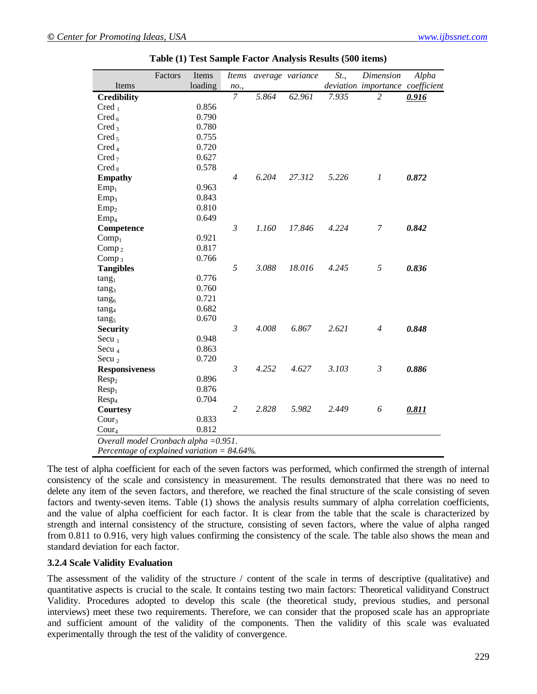|                                                 | Factors                               | Items   | <i>Items</i>   |       | average variance | St.,  | Dimension                        | Alpha |
|-------------------------------------------------|---------------------------------------|---------|----------------|-------|------------------|-------|----------------------------------|-------|
| Items                                           |                                       | loading | no.,           |       |                  |       | deviation importance coefficient |       |
| <b>Credibility</b>                              |                                       |         | 7              | 5.864 | 62.961           | 7.935 | $\overline{c}$                   | 0.916 |
| Cred <sub>1</sub>                               |                                       | 0.856   |                |       |                  |       |                                  |       |
| Cred $_6$                                       |                                       | 0.790   |                |       |                  |       |                                  |       |
| Cred <sub>3</sub>                               |                                       | 0.780   |                |       |                  |       |                                  |       |
| Cred <sub>5</sub>                               |                                       | 0.755   |                |       |                  |       |                                  |       |
| Cred <sub>4</sub>                               |                                       | 0.720   |                |       |                  |       |                                  |       |
| Cred <sub>7</sub>                               |                                       | 0.627   |                |       |                  |       |                                  |       |
| $Cred_8$                                        |                                       | 0.578   |                |       |                  |       |                                  |       |
| <b>Empathy</b>                                  |                                       |         | $\overline{4}$ | 6.204 | 27.312           | 5.226 | 1                                | 0.872 |
| $Emp_1$                                         |                                       | 0.963   |                |       |                  |       |                                  |       |
| Emp <sub>3</sub>                                |                                       | 0.843   |                |       |                  |       |                                  |       |
| $Emp_2$                                         |                                       | 0.810   |                |       |                  |       |                                  |       |
| Emp <sub>4</sub>                                |                                       | 0.649   |                |       |                  |       |                                  |       |
| Competence                                      |                                       |         | $\mathfrak{Z}$ | 1.160 | 17.846           | 4.224 | 7                                | 0.842 |
| Comp <sub>1</sub>                               |                                       | 0.921   |                |       |                  |       |                                  |       |
| Comp $_2$                                       |                                       | 0.817   |                |       |                  |       |                                  |       |
| Comp <sub>3</sub>                               |                                       | 0.766   |                |       |                  |       |                                  |       |
| <b>Tangibles</b>                                |                                       |         | 5              | 3.088 | 18.016           | 4.245 | 5                                | 0.836 |
| tang <sub>1</sub>                               |                                       | 0.776   |                |       |                  |       |                                  |       |
| tang <sub>3</sub>                               |                                       | 0.760   |                |       |                  |       |                                  |       |
| tang <sub>6</sub>                               |                                       | 0.721   |                |       |                  |       |                                  |       |
| tang <sub>4</sub>                               |                                       | 0.682   |                |       |                  |       |                                  |       |
| tang <sub>5</sub>                               |                                       | 0.670   |                |       |                  |       |                                  |       |
| <b>Security</b>                                 |                                       |         | $\mathfrak{Z}$ | 4.008 | 6.867            | 2.621 | $\overline{4}$                   | 0.848 |
| Secu $_1$                                       |                                       | 0.948   |                |       |                  |       |                                  |       |
| Secu $_4$                                       |                                       | 0.863   |                |       |                  |       |                                  |       |
| Secu $2$                                        |                                       | 0.720   |                |       |                  |       |                                  |       |
| <b>Responsiveness</b>                           |                                       |         | $\mathfrak{Z}$ | 4.252 | 4.627            | 3.103 | $\mathfrak{Z}$                   | 0.886 |
| Resp <sub>2</sub>                               |                                       | 0.896   |                |       |                  |       |                                  |       |
| $Resp_1$                                        |                                       | 0.876   |                |       |                  |       |                                  |       |
| Resp <sub>4</sub>                               |                                       | 0.704   |                |       |                  |       |                                  |       |
| <b>Courtesy</b>                                 |                                       |         | $\overline{c}$ | 2.828 | 5.982            | 2.449 | 6                                | 0.811 |
| Cour <sub>3</sub>                               |                                       | 0.833   |                |       |                  |       |                                  |       |
| $\text{Cour}_4$                                 |                                       | 0.812   |                |       |                  |       |                                  |       |
|                                                 | Overall model Cronbach alpha = 0.951. |         |                |       |                  |       |                                  |       |
| Percentage of explained variation = $84.64\%$ . |                                       |         |                |       |                  |       |                                  |       |

**Table (1) Test Sample Factor Analysis Results (500 items)**

The test of alpha coefficient for each of the seven factors was performed, which confirmed the strength of internal consistency of the scale and consistency in measurement. The results demonstrated that there was no need to delete any item of the seven factors, and therefore, we reached the final structure of the scale consisting of seven factors and twenty-seven items. Table (1) shows the analysis results summary of alpha correlation coefficients, and the value of alpha coefficient for each factor. It is clear from the table that the scale is characterized by strength and internal consistency of the structure, consisting of seven factors, where the value of alpha ranged from 0.811 to 0.916, very high values confirming the consistency of the scale. The table also shows the mean and standard deviation for each factor.

### **3.2.4 Scale Validity Evaluation**

The assessment of the validity of the structure / content of the scale in terms of descriptive (qualitative) and quantitative aspects is crucial to the scale. It contains testing two main factors: Theoretical validityand Construct Validity. Procedures adopted to develop this scale (the theoretical study, previous studies, and personal interviews) meet these two requirements. Therefore, we can consider that the proposed scale has an appropriate and sufficient amount of the validity of the components. Then the validity of this scale was evaluated experimentally through the test of the validity of convergence.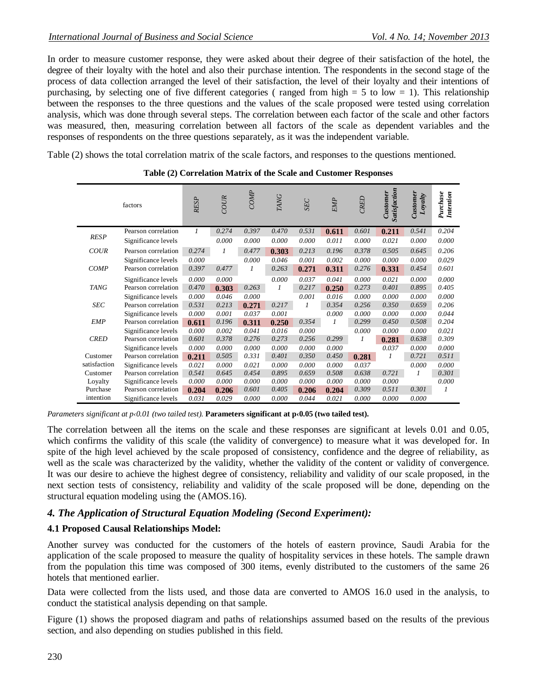In order to measure customer response, they were asked about their degree of their satisfaction of the hotel, the degree of their loyalty with the hotel and also their purchase intention. The respondents in the second stage of the process of data collection arranged the level of their satisfaction, the level of their loyalty and their intentions of purchasing, by selecting one of five different categories ( ranged from high  $= 5$  to low  $= 1$ ). This relationship between the responses to the three questions and the values of the scale proposed were tested using correlation analysis, which was done through several steps. The correlation between each factor of the scale and other factors was measured, then, measuring correlation between all factors of the scale as dependent variables and the responses of respondents on the three questions separately, as it was the independent variable.

Table (2) shows the total correlation matrix of the scale factors, and responses to the questions mentioned.

|              | factors             | <b>RESP</b> | COUR  | COMP  | TANG  | <b>SEC</b>   | <b>EMP</b> | CRED  | Satisfaction<br>Customer | Customer<br>Loyalty | Purchase<br>Intention |
|--------------|---------------------|-------------|-------|-------|-------|--------------|------------|-------|--------------------------|---------------------|-----------------------|
|              | Pearson correlation | 1           | 0.274 | 0.397 | 0.470 | 0.531        | 0.611      | 0.601 | 0.211                    | 0.541               | 0.204                 |
| <b>RESP</b>  | Significance levels |             | 0.000 | 0.000 | 0.000 | 0.000        | 0.011      | 0.000 | 0.021                    | 0.000               | 0.000                 |
| <b>COUR</b>  | Pearson correlation | 0.274       | 1     | 0.477 | 0.303 | 0.213        | 0.196      | 0.378 | 0.505                    | 0.645               | 0.206                 |
|              | Significance levels | 0.000       |       | 0.000 | 0.046 | 0.001        | 0.002      | 0.000 | 0.000                    | 0.000               | 0.029                 |
| <b>COMP</b>  | Pearson correlation | 0.397       | 0.477 | 1     | 0.263 | 0.271        | 0.311      | 0.276 | 0.331                    | 0.454               | 0.601                 |
|              | Significance levels | 0.000       | 0.000 |       | 0.000 | 0.037        | 0.041      | 0.000 | 0.021                    | 0.000               | 0.000                 |
| <b>TANG</b>  | Pearson correlation | 0.470       | 0.303 | 0.263 | 1     | 0.217        | 0.250      | 0.273 | 0.401                    | 0.895               | 0.405                 |
|              | Significance levels | 0.000       | 0.046 | 0.000 |       | 0.001        | 0.016      | 0.000 | 0.000                    | 0.000               | 0.000                 |
| <b>SEC</b>   | Pearson correlation | 0.531       | 0.213 | 0.271 | 0.217 | $\mathcal I$ | 0.354      | 0.256 | 0.350                    | 0.659               | 0.206                 |
|              | Significance levels | 0.000       | 0.001 | 0.037 | 0.001 |              | 0.000      | 0.000 | 0.000                    | 0.000               | 0.044                 |
| <b>EMP</b>   | Pearson correlation | 0.611       | 0.196 | 0.311 | 0.250 | 0.354        | 1          | 0.299 | 0.450                    | 0.508               | 0.204                 |
|              | Significance levels | 0.000       | 0.002 | 0.041 | 0.016 | 0.000        |            | 0.000 | 0.000                    | 0.000               | 0.021                 |
| <b>CRED</b>  | Pearson correlation | 0.601       | 0.378 | 0.276 | 0.273 | 0.256        | 0.299      | 1     | 0.281                    | 0.638               | 0.309                 |
|              | Significance levels | 0.000       | 0.000 | 0.000 | 0.000 | 0.000        | 0.000      |       | 0.037                    | 0.000               | 0.000                 |
| Customer     | Pearson correlation | 0.211       | 0.505 | 0.331 | 0.401 | 0.350        | 0.450      | 0.281 | 1                        | 0.721               | 0.511                 |
| satisfaction | Significance levels | 0.021       | 0.000 | 0.021 | 0.000 | 0.000        | 0.000      | 0.037 |                          | 0.000               | 0.000                 |
| Customer     | Pearson correlation | 0.541       | 0.645 | 0.454 | 0.895 | 0.659        | 0.508      | 0.638 | 0.721                    |                     | 0.301                 |
| Loyalty      | Significance levels | 0.000       | 0.000 | 0.000 | 0.000 | 0.000        | 0.000      | 0.000 | 0.000                    |                     | 0.000                 |
| Purchase     | Pearson correlation | 0.204       | 0.206 | 0.601 | 0.405 | 0.206        | 0.204      | 0.309 | 0.511                    | 0.301               | 1                     |
| intention    | Significance levels | 0.031       | 0.029 | 0.000 | 0.000 | 0.044        | 0.021      | 0.000 | 0.000                    | 0.000               |                       |

### **Table (2) Correlation Matrix of the Scale and Customer Responses**

*Parameters significant at p‹0.01 (two tailed test).* **Parameters significant at p‹0.05 (two tailed test).**

The correlation between all the items on the scale and these responses are significant at levels 0.01 and 0.05, which confirms the validity of this scale (the validity of convergence) to measure what it was developed for. In spite of the high level achieved by the scale proposed of consistency, confidence and the degree of reliability, as well as the scale was characterized by the validity, whether the validity of the content or validity of convergence. It was our desire to achieve the highest degree of consistency, reliability and validity of our scale proposed, in the next section tests of consistency, reliability and validity of the scale proposed will be done, depending on the structural equation modeling using the (AMOS.16).

## *4. The Application of Structural Equation Modeling (Second Experiment):*

## **4.1 Proposed Causal Relationships Model:**

Another survey was conducted for the customers of the hotels of eastern province, Saudi Arabia for the application of the scale proposed to measure the quality of hospitality services in these hotels. The sample drawn from the population this time was composed of 300 items, evenly distributed to the customers of the same 26 hotels that mentioned earlier.

Data were collected from the lists used, and those data are converted to AMOS 16.0 used in the analysis, to conduct the statistical analysis depending on that sample.

Figure (1) shows the proposed diagram and paths of relationships assumed based on the results of the previous section, and also depending on studies published in this field.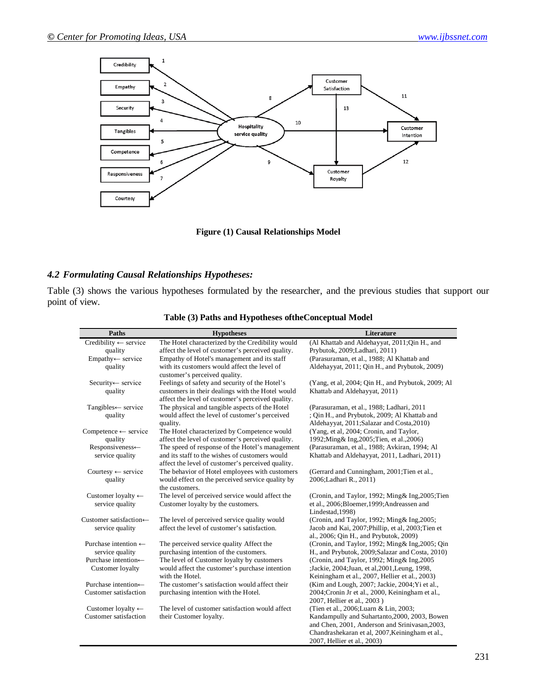

**Figure (1) Causal Relationships Model**

## *4.2 Formulating Causal Relationships Hypotheses:*

Table (3) shows the various hypotheses formulated by the researcher, and the previous studies that support our point of view.

| Paths                            | <b>Hypotheses</b>                                                  | Literature                                         |
|----------------------------------|--------------------------------------------------------------------|----------------------------------------------------|
| Credibility $\leftarrow$ service | The Hotel characterized by the Credibility would                   | (Al Khattab and Aldehayyat, 2011;Qin H., and       |
| quality                          | affect the level of customer's perceived quality.                  | Prybutok, 2009;Ladhari, 2011)                      |
| Empathy← service                 | Empathy of Hotel's management and its staff                        | (Parasuraman, et al., 1988; Al Khattab and         |
| quality                          | with its customers would affect the level of                       | Aldehayyat, 2011; Qin H., and Prybutok, 2009)      |
|                                  | customer's perceived quality.                                      |                                                    |
| Security← service                | Feelings of safety and security of the Hotel's                     | (Yang, et al, 2004; Qin H., and Prybutok, 2009; Al |
| quality                          | customers in their dealings with the Hotel would                   | Khattab and Aldehayyat, 2011)                      |
|                                  | affect the level of customer's perceived quality.                  |                                                    |
| Tangibles← service               | The physical and tangible aspects of the Hotel                     | (Parasuraman, et al., 1988; Ladhari, 2011          |
| quality                          | would affect the level of customer's perceived                     | ; Qin H., and Prybutok, 2009; Al Khattab and       |
|                                  | quality.                                                           | Aldehayyat, 2011;Salazar and Costa, 2010)          |
| Competence $\leftarrow$ service  | The Hotel characterized by Competence would                        | (Yang, et al, 2004; Cronin, and Taylor,            |
| quality                          | affect the level of customer's perceived quality.                  | 1992; Ming & Ing, 2005; Tien, et al., 2006)        |
| Responsiveness←                  | The speed of response of the Hotel's management                    | (Parasuraman, et al., 1988; Avkiran, 1994; Al      |
| service quality                  | and its staff to the wishes of customers would                     | Khattab and Aldehayyat, 2011, Ladhari, 2011)       |
|                                  | affect the level of customer's perceived quality.                  |                                                    |
| Courtesy $\leftarrow$ service    | The behavior of Hotel employees with customers                     | (Gerrard and Cunningham, 2001; Tien et al.,        |
| quality                          | would effect on the perceived service quality by<br>the customers. | 2006; Ladhari R., 2011)                            |
| Customer loyalty $\leftarrow$    | The level of perceived service would affect the                    | (Cronin, and Taylor, 1992; Ming& Ing, 2005; Tien   |
| service quality                  | Customer loyalty by the customers.                                 | et al., 2006;Bloemer, 1999;Andreassen and          |
|                                  |                                                                    | Lindestad, 1998)                                   |
| Customer satisfaction←           | The level of perceived service quality would                       | (Cronin, and Taylor, 1992; Ming& Ing, 2005;        |
| service quality                  | affect the level of customer's satisfaction.                       | Jacob and Kai, 2007; Phillip, et al, 2003; Tien et |
|                                  |                                                                    | al., 2006; Qin H., and Prybutok, 2009)             |
| Purchase intention $\leftarrow$  | The perceived service quality Affect the                           | (Cronin, and Taylor, 1992; Ming & Ing, 2005; Qin   |
| service quality                  | purchasing intention of the customers.                             | H., and Prybutok, 2009; Salazar and Costa, 2010)   |
| Purchase intention←              | The level of Customer loyalty by customers                         | (Cronin, and Taylor, 1992; Ming& Ing, 2005         |
| Customer loyalty                 | would affect the customer's purchase intention                     | ;Jackie, 2004;Juan, et al, 2001, Leung, 1998,      |
|                                  | with the Hotel.                                                    | Keiningham et al., 2007, Hellier et al., 2003)     |
| Purchase intention←              | The customer's satisfaction would affect their                     | (Kim and Lough, 2007; Jackie, 2004; Yi et al.,     |
| <b>Customer</b> satisfaction     | purchasing intention with the Hotel.                               | 2004; Cronin Jr et al., 2000, Keiningham et al.,   |
|                                  |                                                                    | 2007, Hellier et al., 2003)                        |
| Customer loyalty $\leftarrow$    | The level of customer satisfaction would affect                    | (Tien et al., 2006; Luarn & Lin, 2003;             |
| <b>Customer</b> satisfaction     | their Customer loyalty.                                            | Kandampully and Suhartanto, 2000, 2003, Bowen      |
|                                  |                                                                    | and Chen, 2001, Anderson and Srinivasan, 2003,     |
|                                  |                                                                    | Chandrashekaran et al, 2007, Keiningham et al.,    |
|                                  |                                                                    | 2007, Hellier et al., 2003)                        |

**Table (3) Paths and Hypotheses oftheConceptual Model**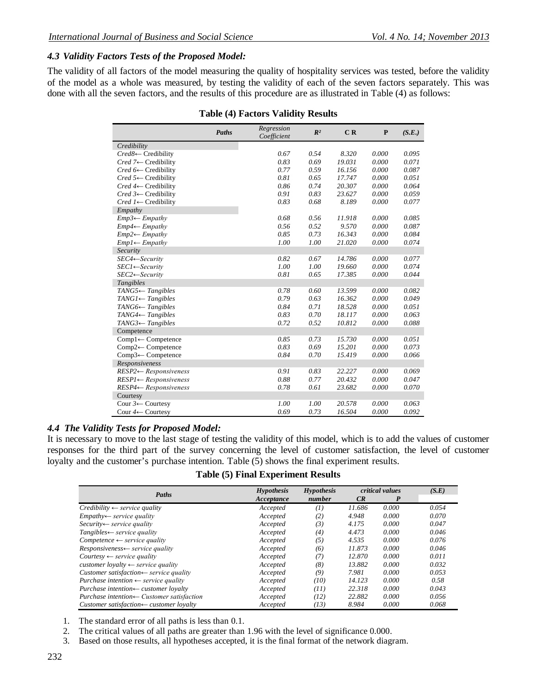### *4.3 Validity Factors Tests of the Proposed Model:*

The validity of all factors of the model measuring the quality of hospitality services was tested, before the validity of the model as a whole was measured, by testing the validity of each of the seven factors separately. This was done with all the seven factors, and the results of this procedure are as illustrated in Table (4) as follows:

|  |  |  | <b>Table (4) Factors Validity Results</b> |  |
|--|--|--|-------------------------------------------|--|
|--|--|--|-------------------------------------------|--|

|                                    | Paths | Regression<br>Coefficient | $R^2$ | C R    | $\mathbf{P}$ | (S.E.) |
|------------------------------------|-------|---------------------------|-------|--------|--------------|--------|
| Credibility                        |       |                           |       |        |              |        |
| Cred8← Credibility                 |       | 0.67                      | 0.54  | 8.320  | 0.000        | 0.095  |
| $Cred 7 \leftarrow Credibility$    |       | 0.83                      | 0.69  | 19.031 | 0.000        | 0.071  |
| Cred $6 \leftarrow$ Credibility    |       | 0.77                      | 0.59  | 16.156 | 0.000        | 0.087  |
| $Cred 5 \leftarrow Credibility$    |       | 0.81                      | 0.65  | 17.747 | 0.000        | 0.051  |
| $Cred 4 \leftarrow Credibility$    |       | 0.86                      | 0.74  | 20.307 | 0.000        | 0.064  |
| $Cred 3 \leftarrow Credibility$    |       | 0.91                      | 0.83  | 23.627 | 0.000        | 0.059  |
| $Cred \, 1 \leftarrow$ Credibility |       | 0.83                      | 0.68  | 8.189  | 0.000        | 0.077  |
| Empathy                            |       |                           |       |        |              |        |
| $Emp3 \leftarrow Empathy$          |       | 0.68                      | 0.56  | 11.918 | 0.000        | 0.085  |
| $Emp4 \leftarrow Empathy$          |       | 0.56                      | 0.52  | 9.570  | 0.000        | 0.087  |
| $Emp2 \leftarrow Empathv$          |       | 0.85                      | 0.73  | 16.343 | 0.000        | 0.084  |
| $Emp1 \leftarrow Empathy$          |       | 1.00                      | 1.00  | 21.020 | 0.000        | 0.074  |
| Security                           |       |                           |       |        |              |        |
| $SEC4 \leftarrow Security$         |       | 0.82                      | 0.67  | 14.786 | 0.000        | 0.077  |
| $SECI \leftarrow Security$         |       | 1.00                      | 1.00  | 19.660 | 0.000        | 0.074  |
| $SEC2 \leftarrow Security$         |       | 0.81                      | 0.65  | 17.385 | 0.000        | 0.044  |
| Tangibles                          |       |                           |       |        |              |        |
| $TANG5 \leftarrow Tangibles$       |       | 0.78                      | 0.60  | 13.599 | 0.000        | 0.082  |
| $TANGI \leftarrow Tangibles$       |       | 0.79                      | 0.63  | 16.362 | 0.000        | 0.049  |
| $TANG6 \leftarrow Tangibles$       |       | 0.84                      | 0.71  | 18.528 | 0.000        | 0.051  |
| $TANG4 \leftarrow Tangibles$       |       | 0.83                      | 0.70  | 18.117 | 0.000        | 0.063  |
| $TANG3 \leftarrow Tangibles$       |       | 0.72                      | 0.52  | 10.812 | 0.000        | 0.088  |
| Competence                         |       |                           |       |        |              |        |
| $Compl \leftarrow Competence$      |       | 0.85                      | 0.73  | 15.730 | 0.000        | 0.051  |
| Comp2← Competence                  |       | 0.83                      | 0.69  | 15.201 | 0.000        | 0.073  |
| Comp3← Competence                  |       | 0.84                      | 0.70  | 15.419 | 0.000        | 0.066  |
| Responsiveness                     |       |                           |       |        |              |        |
| $RESP2 \leftarrow Responsibility$  |       | 0.91                      | 0.83  | 22.227 | 0.000        | 0.069  |
| $RESP1 \leftarrow Responsibility$  |       | 0.88                      | 0.77  | 20.432 | 0.000        | 0.047  |
| $RESP4 \leftarrow Responsibility$  |       | 0.78                      | 0.61  | 23.682 | 0.000        | 0.070  |
| Courtesy                           |       |                           |       |        |              |        |
| Cour $3 \leftarrow$ Courtesy       |       | 1.00                      | 1.00  | 20.578 | 0.000        | 0.063  |
| Cour $4 \leftarrow$ Courtesy       |       | 0.69                      | 0.73  | 16.504 | 0.000        | 0.092  |

### *4.4 The Validity Tests for Proposed Model:*

It is necessary to move to the last stage of testing the validity of this model, which is to add the values of customer responses for the third part of the survey concerning the level of customer satisfaction, the level of customer loyalty and the customer's purchase intention. Table (5) shows the final experiment results.

**Table (5) Final Experiment Results** 

|                                                       | <i>Hypothesis</i> | <b>Hypothesis</b> |        | critical values | (S.E) |
|-------------------------------------------------------|-------------------|-------------------|--------|-----------------|-------|
| Paths                                                 | Acceptance        | number            | CR     | P               |       |
| $Credibility \leftarrow service \; quality$           | Accepted          | $\left( I\right)$ | 11.686 | 0.000           | 0.054 |
| $Empathv \leftarrow service\ quality$                 | Accepted          | (2)               | 4.948  | 0.000           | 0.070 |
| $Security \leftarrow service \ quality$               | Accepted          | (3)               | 4.175  | 0.000           | 0.047 |
| $Tangibles \leftarrow service quality$                | Accepted          | (4)               | 4.473  | 0.000           | 0.046 |
| $Competence \leftarrow service quality$               | Accepted          | (5)               | 4.535  | 0.000           | 0.076 |
| $Responsiveness \leftarrow service quality$           | Accepted          | (6)               | 11.873 | 0.000           | 0.046 |
| $Course$ $\leftarrow$ service quality                 | Accepted          | (7)               | 12.870 | 0.000           | 0.011 |
| customer loyalty $\leftarrow$ service quality         | Accepted          | (8)               | 13.882 | 0.000           | 0.032 |
| Customer satisfaction $\leftarrow$ service quality    | Accepted          | (9)               | 7.981  | 0.000           | 0.053 |
| Purchase intention $\leftarrow$ service quality       | Accepted          | (10)              | 14.123 | 0.000           | 0.58  |
| Purchase intention $\leftarrow$ customer loyalty      | Accepted          | (11)              | 22.318 | 0.000           | 0.043 |
| Purchase intention $\leftarrow$ Customer satisfaction | Accepted          | (12)              | 22.882 | 0.000           | 0.056 |
| Customer satisfaction $\leftarrow$ customer loyalty   | Accepted          | (13)              | 8.984  | 0.000           | 0.068 |

1. The standard error of all paths is less than 0.1.

2. The critical values of all paths are greater than 1.96 with the level of significance 0.000.

3. Based on those results, all hypotheses accepted, it is the final format of the network diagram.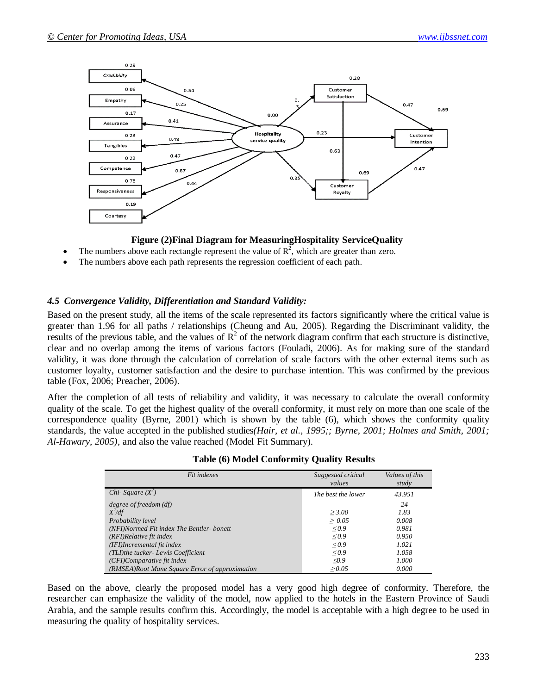

### **Figure (2)Final Diagram for MeasuringHospitality ServiceQuality**

- The numbers above each rectangle represent the value of  $\mathbb{R}^2$ , which are greater than zero.
- The numbers above each path represents the regression coefficient of each path.

### *4.5 Convergence Validity, Differentiation and Standard Validity:*

Based on the present study, all the items of the scale represented its factors significantly where the critical value is greater than 1.96 for all paths / relationships (Cheung and Au, 2005). Regarding the Discriminant validity, the results of the previous table, and the values of  $R^2$  of the network diagram confirm that each structure is distinctive, clear and no overlap among the items of various factors (Fouladi, 2006). As for making sure of the standard validity, it was done through the calculation of correlation of scale factors with the other external items such as customer loyalty, customer satisfaction and the desire to purchase intention. This was confirmed by the previous table (Fox, 2006; Preacher, 2006).

After the completion of all tests of reliability and validity, it was necessary to calculate the overall conformity quality of the scale. To get the highest quality of the overall conformity, it must rely on more than one scale of the correspondence quality (Byrne, 2001) which is shown by the table (6), which shows the conformity quality standards, the value accepted in the published studies*(Hair, et al., 1995;; Byrne, 2001; Holmes and Smith, 2001; Al-Hawary, 2005)*, and also the value reached (Model Fit Summary).

| Fit indexes                                    | Suggested critical<br>values | Values of this<br>study |
|------------------------------------------------|------------------------------|-------------------------|
| Chi- Square $(X^2)$                            | The best the lower           | 43.951                  |
| degree of freedom (df)                         |                              | 24                      |
| $X^2/df$                                       | > 3.00                       | 1.83                    |
| Probability level                              | > 0.05                       | 0.008                   |
| (NFI)Normed Fit index The Bentler-bonett       | 0.9                          | 0.981                   |
| (RFI)Relative fit index                        | 0.9                          | 0.950                   |
| (IFI)Incremental fit index                     | $\leq 0.9$                   | 1.021                   |
| (TLI)the tucker- Lewis Coefficient             | $\leq 0.9$                   | 1.058                   |
| (CFI)Comparative fit index                     | $\triangleleft$ 0.9          | 1.000                   |
| (RMSEA)Root Mane Square Error of approximation | > 0.05                       | 0.000                   |

| <b>Table (6) Model Conformity Quality Results</b> |  |  |  |
|---------------------------------------------------|--|--|--|
|---------------------------------------------------|--|--|--|

Based on the above, clearly the proposed model has a very good high degree of conformity. Therefore, the researcher can emphasize the validity of the model, now applied to the hotels in the Eastern Province of Saudi Arabia, and the sample results confirm this. Accordingly, the model is acceptable with a high degree to be used in measuring the quality of hospitality services.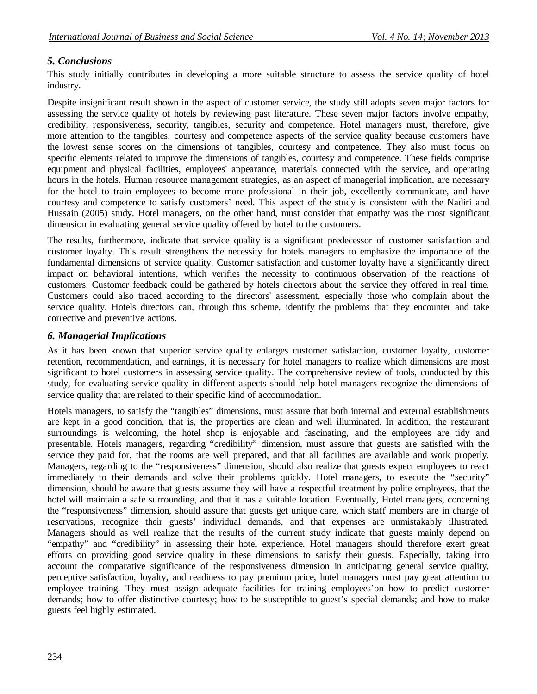# *5. Conclusions*

This study initially contributes in developing a more suitable structure to assess the service quality of hotel industry.

Despite insignificant result shown in the aspect of customer service, the study still adopts seven major factors for assessing the service quality of hotels by reviewing past literature. These seven major factors involve empathy, credibility, responsiveness, security, tangibles, security and competence. Hotel managers must, therefore, give more attention to the tangibles, courtesy and competence aspects of the service quality because customers have the lowest sense scores on the dimensions of tangibles, courtesy and competence. They also must focus on specific elements related to improve the dimensions of tangibles, courtesy and competence. These fields comprise equipment and physical facilities, employees' appearance, materials connected with the service, and operating hours in the hotels. Human resource management strategies, as an aspect of managerial implication, are necessary for the hotel to train employees to become more professional in their job, excellently communicate, and have courtesy and competence to satisfy customers' need. This aspect of the study is consistent with the Nadiri and Hussain (2005) study. Hotel managers, on the other hand, must consider that empathy was the most significant dimension in evaluating general service quality offered by hotel to the customers.

The results, furthermore, indicate that service quality is a significant predecessor of customer satisfaction and customer loyalty. This result strengthens the necessity for hotels managers to emphasize the importance of the fundamental dimensions of service quality. Customer satisfaction and customer loyalty have a significantly direct impact on behavioral intentions, which verifies the necessity to continuous observation of the reactions of customers. Customer feedback could be gathered by hotels directors about the service they offered in real time. Customers could also traced according to the directors' assessment, especially those who complain about the service quality. Hotels directors can, through this scheme, identify the problems that they encounter and take corrective and preventive actions.

## *6. Managerial Implications*

As it has been known that superior service quality enlarges customer satisfaction, customer loyalty, customer retention, recommendation, and earnings, it is necessary for hotel managers to realize which dimensions are most significant to hotel customers in assessing service quality. The comprehensive review of tools, conducted by this study, for evaluating service quality in different aspects should help hotel managers recognize the dimensions of service quality that are related to their specific kind of accommodation.

Hotels managers, to satisfy the "tangibles" dimensions, must assure that both internal and external establishments are kept in a good condition, that is, the properties are clean and well illuminated. In addition, the restaurant surroundings is welcoming, the hotel shop is enjoyable and fascinating, and the employees are tidy and presentable. Hotels managers, regarding "credibility" dimension, must assure that guests are satisfied with the service they paid for, that the rooms are well prepared, and that all facilities are available and work properly. Managers, regarding to the "responsiveness" dimension, should also realize that guests expect employees to react immediately to their demands and solve their problems quickly. Hotel managers, to execute the "security" dimension, should be aware that guests assume they will have a respectful treatment by polite employees, that the hotel will maintain a safe surrounding, and that it has a suitable location. Eventually, Hotel managers, concerning the "responsiveness" dimension, should assure that guests get unique care, which staff members are in charge of reservations, recognize their guests' individual demands, and that expenses are unmistakably illustrated. Managers should as well realize that the results of the current study indicate that guests mainly depend on "empathy" and "credibility" in assessing their hotel experience. Hotel managers should therefore exert great efforts on providing good service quality in these dimensions to satisfy their guests. Especially, taking into account the comparative significance of the responsiveness dimension in anticipating general service quality, perceptive satisfaction, loyalty, and readiness to pay premium price, hotel managers must pay great attention to employee training. They must assign adequate facilities for training employees'on how to predict customer demands; how to offer distinctive courtesy; how to be susceptible to guest's special demands; and how to make guests feel highly estimated.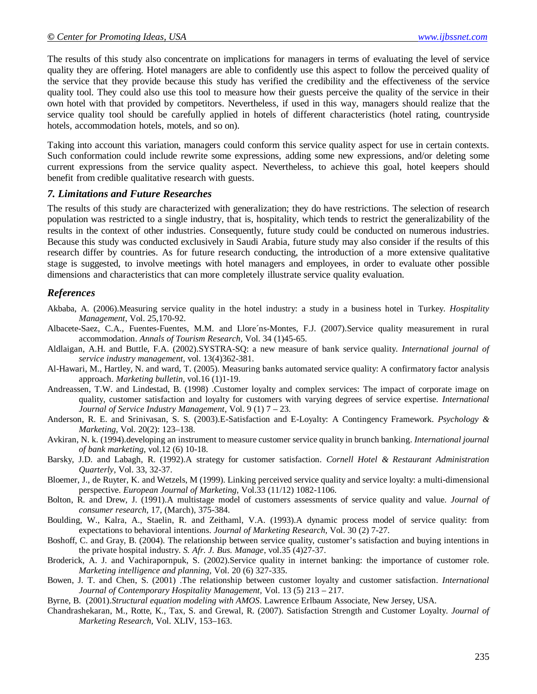The results of this study also concentrate on implications for managers in terms of evaluating the level of service quality they are offering. Hotel managers are able to confidently use this aspect to follow the perceived quality of the service that they provide because this study has verified the credibility and the effectiveness of the service quality tool. They could also use this tool to measure how their guests perceive the quality of the service in their own hotel with that provided by competitors. Nevertheless, if used in this way, managers should realize that the service quality tool should be carefully applied in hotels of different characteristics (hotel rating, countryside hotels, accommodation hotels, motels, and so on).

Taking into account this variation, managers could conform this service quality aspect for use in certain contexts. Such conformation could include rewrite some expressions, adding some new expressions, and/or deleting some current expressions from the service quality aspect. Nevertheless, to achieve this goal, hotel keepers should benefit from credible qualitative research with guests.

#### *7. Limitations and Future Researches*

The results of this study are characterized with generalization; they do have restrictions. The selection of research population was restricted to a single industry, that is, hospitality, which tends to restrict the generalizability of the results in the context of other industries. Consequently, future study could be conducted on numerous industries. Because this study was conducted exclusively in Saudi Arabia, future study may also consider if the results of this research differ by countries. As for future research conducting, the introduction of a more extensive qualitative stage is suggested, to involve meetings with hotel managers and employees, in order to evaluate other possible dimensions and characteristics that can more completely illustrate service quality evaluation.

### *References*

- Akbaba, A. (2006).Measuring service quality in the hotel industry: a study in a business hotel in Turkey. *Hospitality Management*, Vol. 25,170-92.
- Albacete-Saez, C.A., Fuentes-Fuentes, M.M. and Llore´ns-Montes, F.J. (2007).Service quality measurement in rural accommodation. *Annals of Tourism Research*, Vol. 34 (1)45-65.
- Aldlaigan, A.H. and Buttle, F.A. (2002).SYSTRA-SQ: a new measure of bank service quality. *International journal of service industry management*, vol. 13(4)362-381.
- Al-Hawari, M., Hartley, N. and ward, T. (2005). Measuring banks automated service quality: A confirmatory factor analysis approach. *Marketing bulletin*, vol.16 (1)1-19.
- Andreassen, T.W. and Lindestad, B. (1998) .Customer loyalty and complex services: The impact of corporate image on quality, customer satisfaction and loyalty for customers with varying degrees of service expertise. *International Journal of Service Industry Management*, Vol. 9 (1) 7 – 23.
- Anderson, R. E. and Srinivasan, S. S. (2003).E-Satisfaction and E-Loyalty: A Contingency Framework. *Psychology & Marketing,* Vol. 20(2): 123–138.
- Avkiran, N. k. (1994).developing an instrument to measure customer service quality in brunch banking. *International journal of bank marketing*, vol.12 (6) 10-18.
- Barsky, J.D. and Labagh, R. (1992).A strategy for customer satisfaction. *Cornell Hotel & Restaurant Administration Quarterly,* Vol. 33, 32-37.
- Bloemer, J., de Ruyter, K. and Wetzels, M (1999). Linking perceived service quality and service loyalty: a multi-dimensional perspective. *European Journal of Marketing,* Vol.33 (11/12) 1082-1106.
- Bolton, R. and Drew, J. (1991).A multistage model of customers assessments of service quality and value. *Journal of consumer research,* 17, (March), 375-384.
- Boulding, W., Kalra, A., Staelin, R. and Zeithaml, V.A. (1993).A dynamic process model of service quality: from expectations to behavioral intentions. *Journal of Marketing Research,* Vol. 30 (2) 7-27.
- Boshoff, C. and Gray, B. (2004). The relationship between service quality, customer's satisfaction and buying intentions in the private hospital industry. *S. Afr. J. Bus. Manage*, vol.35 (4)27-37.
- Broderick, A. J. and Vachirapornpuk, S. (2002).Service quality in internet banking: the importance of customer role. *Marketing intelligence and planning,* Vol. 20 (6) 327-335.
- Bowen, J. T. and Chen, S. (2001) .The relationship between customer loyalty and customer satisfaction. *International Journal of Contemporary Hospitality Management,* Vol. 13 (5) 213 – 217.
- Byrne, B. (2001).*Structural equation modeling with AMOS*. Lawrence Erlbaum Associate, New Jersey, USA.
- Chandrashekaran, M., Rotte, K., Tax, S. and Grewal, R. (2007). Satisfaction Strength and Customer Loyalty. *Journal of Marketing Research,* Vol. XLIV, 153–163.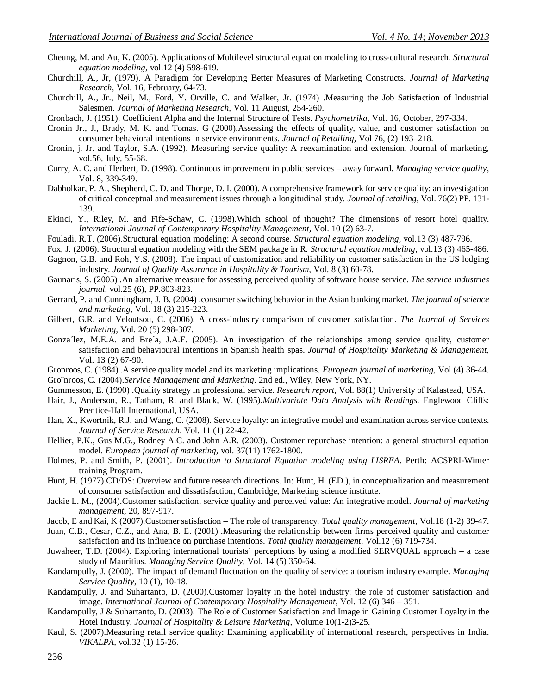- Cheung, M. and Au, K. (2005). Applications of Multilevel structural equation modeling to cross-cultural research. *Structural equation modeling,* vol.12 (4) 598-619.
- Churchill, A., Jr, (1979). A Paradigm for Developing Better Measures of Marketing Constructs. *Journal of Marketing Research,* Vol. 16, February, 64-73.
- Churchill, A., Jr., Neil, M., Ford, Y. Orville, C. and Walker, Jr. (1974) .Measuring the Job Satisfaction of Industrial Salesmen. *Journal of Marketing Research,* Vol. 11 August, 254-260.
- Cronbach, J. (1951). Coefficient Alpha and the Internal Structure of Tests. *Psychometrika,* Vol. 16, October, 297-334.
- Cronin Jr., J., Brady, M. K. and Tomas. G (2000).Assessing the effects of quality, value, and customer satisfaction on consumer behavioral intentions in service environments. *Journal of Retailing,* Vol 76, (2) 193–218.
- Cronin, j. Jr. and Taylor, S.A. (1992). Measuring service quality: A reexamination and extension. Journal of marketing, vol.56, July, 55-68.
- Curry, A. C. and Herbert, D. (1998). Continuous improvement in public services away forward. *Managing service quality*, Vol. 8, 339-349.
- Dabholkar, P. A., Shepherd, C. D. and Thorpe, D. I. (2000). A comprehensive framework for service quality: an investigation of critical conceptual and measurement issues through a longitudinal study. *Journal of retailing,* Vol. 76(2) PP. 131- 139.
- Ekinci, Y., Riley, M. and Fife-Schaw, C. (1998).Which school of thought? The dimensions of resort hotel quality. *International Journal of Contemporary Hospitality Management,* Vol. 10 (2) 63-7.
- Fouladi, R.T. (2006).Structural equation modeling: A second course. *Structural equation modeling,* vol.13 (3) 487-796.
- Fox, J. (2006). Structural equation modeling with the SEM package in R. *Structural equation modeling,* vol.13 (3) 465-486.
- Gagnon, G.B. and Roh, Y.S. (2008). The impact of customization and reliability on customer satisfaction in the US lodging industry. *Journal of Quality Assurance in Hospitality & Tourism,* Vol. 8 (3) 60-78.
- Gaunaris, S. (2005) .An alternative measure for assessing perceived quality of software house service. *The service industries journal,* vol.25 (6), PP.803-823.
- Gerrard, P. and Cunningham, J. B. (2004) .consumer switching behavior in the Asian banking market. *The journal of science and marketing,* Vol. 18 (3) 215-223.
- Gilbert, G.R. and Veloutsou, C. (2006). A cross-industry comparison of customer satisfaction. *The Journal of Services Marketing,* Vol. 20 (5) 298-307.
- Gonza´lez, M.E.A. and Bre´a, J.A.F. (2005). An investigation of the relationships among service quality, customer satisfaction and behavioural intentions in Spanish health spas. *Journal of Hospitality Marketing & Management,*  Vol. 13 (2) 67-90.
- Gronroos, C. (1984) .A service quality model and its marketing implications. *European journal of marketing,* Vol (4) 36-44. Gro¨nroos, C. (2004).*Service Management and Marketing*. 2nd ed., Wiley, New York, NY.
- Gummesson, E. (1990) .Quality strategy in professional service. *Research report,* Vol. 88(1) University of Kalastead, USA.
- Hair, J., Anderson, R., Tatham, R. and Black, W. (1995).*Multivariate Data Analysis with Readings.* Englewood Cliffs: Prentice-Hall International, USA.
- Han, X., Kwortnik, R.J. and Wang, C. (2008). Service loyalty: an integrative model and examination across service contexts. *Journal of Service Research,* Vol. 11 (1) 22-42.
- Hellier, P.K., Gus M.G., Rodney A.C. and John A.R. (2003). Customer repurchase intention: a general structural equation model. *European journal of marketing,* vol. 37(11) 1762-1800.
- Holmes, P. and Smith, P. (2001). *Introduction to Structural Equation modeling using LISREA*. Perth: ACSPRI-Winter training Program.
- Hunt, H. (1977).CD/DS: Overview and future research directions. In: Hunt, H. (ED.), in conceptualization and measurement of consumer satisfaction and dissatisfaction, Cambridge, Marketing science institute.
- Jackie L. M., (2004).Customer satisfaction, service quality and perceived value: An integrative model. *Journal of marketing management,* 20, 897-917.
- Jacob, E and Kai, K (2007).Customer satisfaction The role of transparency. *Total quality management,* Vol.18 (1-2) 39-47.
- Juan, C.B., Cesar, C.Z., and Ana, B. E. (2001) .Measuring the relationship between firms perceived quality and customer satisfaction and its influence on purchase intentions. *Total quality management,* Vol.12 (6) 719-734.
- Juwaheer, T.D. (2004). Exploring international tourists' perceptions by using a modified SERVQUAL approach a case study of Mauritius. *Managing Service Quality,* Vol. 14 (5) 350-64.
- Kandampully, J. (2000). The impact of demand fluctuation on the quality of service: a tourism industry example. *Managing Service Quality*, 10 (1), 10-18.
- Kandampully, J. and Suhartanto, D. (2000).Customer loyalty in the hotel industry: the role of customer satisfaction and image*. International Journal of Contemporary Hospitality Management,* Vol. 12 (6) 346 – 351.
- Kandampully, J & Suhartanto, D. (2003). The Role of Customer Satisfaction and Image in Gaining Customer Loyalty in the Hotel Industry. *Journal of Hospitality & Leisure Marketing,* Volume 10(1-2)3-25.
- Kaul, S. (2007).Measuring retail service quality: Examining applicability of international research, perspectives in India. *VIKALPA,* vol.32 (1) 15-26.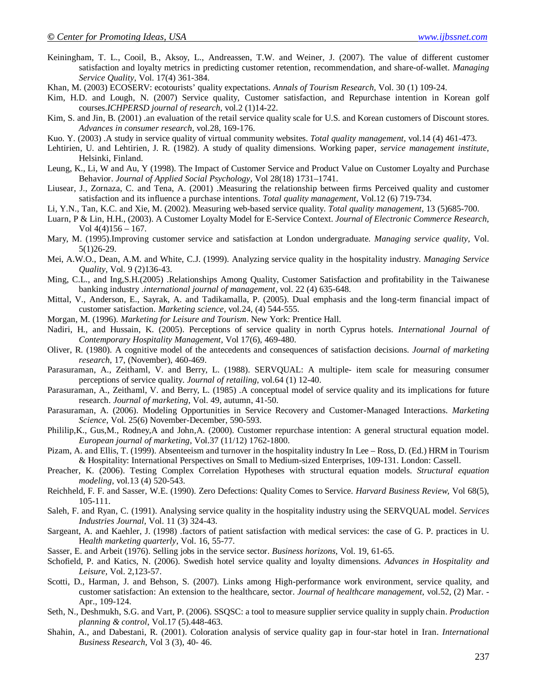- Keiningham, T. L., Cooil, B., Aksoy, L., Andreassen, T.W. and Weiner, J. (2007). The value of different customer satisfaction and loyalty metrics in predicting customer retention, recommendation, and share-of-wallet. *Managing Service Quality,* Vol. 17(4) 361-384.
- Khan, M. (2003) ECOSERV: ecotourists' quality expectations. *Annals of Tourism Research,* Vol. 30 (1) 109-24.
- Kim, H.D. and Lough, N. (2007) Service quality, Customer satisfaction, and Repurchase intention in Korean golf courses.*ICHPERSD journal of research*, vol.2 (1)14-22.
- Kim, S. and Jin, B. (2001) .an evaluation of the retail service quality scale for U.S. and Korean customers of Discount stores. *Advances in consumer research*, vol.28, 169-176.
- Kuo. Y. (2003) .A study in service quality of virtual community websites. *Total quality management,* vol.14 (4) 461-473.
- Lehtirien, U. and Lehtirien, J. R. (1982). A study of quality dimensions. Working paper, *service management institute,* Helsinki, Finland.
- Leung, K., Li, W and Au, Y (1998). The Impact of Customer Service and Product Value on Customer Loyalty and Purchase Behavior. *Journal of Applied Social Psychology,* Vol 28(18) 1731–1741.
- Liusear, J., Zornaza, C. and Tena, A. (2001) .Measuring the relationship between firms Perceived quality and customer satisfaction and its influence a purchase intentions. *Total quality management,* Vol.12 (6) 719-734.
- Li, Y.N., Tan, K.C. and Xie, M. (2002). Measuring web-based service quality. *Total quality management,* 13 (5)685-700.
- Luarn, P & Lin, H.H., (2003). A Customer Loyalty Model for E-Service Context. *Journal of Electronic Commerce Research,* Vol  $4(4)156 - 167$ .
- Mary, M. (1995).Improving customer service and satisfaction at London undergraduate. *Managing service quality,* Vol. 5(1)26-29.
- Mei, A.W.O., Dean, A.M. and White, C.J. (1999). Analyzing service quality in the hospitality industry. *Managing Service Quality,* Vol. 9 (2)136-43.
- Ming, C.L., and Ing,S.H.(2005) .Relationships Among Quality, Customer Satisfaction and profitability in the Taiwanese banking industry .*international journal of management*, vol. 22 (4) 635-648.
- Mittal, V., Anderson, E., Sayrak, A. and Tadikamalla, P. (2005). Dual emphasis and the long-term financial impact of customer satisfaction. *Marketing science,* vol.24, (4) 544-555.
- Morgan, M. (1996). *Marketing for Leisure and Tourism*. New York: Prentice Hall.
- Nadiri, H., and Hussain, K. (2005). Perceptions of service quality in north Cyprus hotels. *International Journal of Contemporary Hospitality Management*, Vol 17(6), 469-480.
- Oliver, R. (1980). A cognitive model of the antecedents and consequences of satisfaction decisions. *Journal of marketing research,* 17, (November), 460-469.
- Parasuraman, A., Zeithaml, V. and Berry, L. (1988). SERVQUAL: A multiple- item scale for measuring consumer perceptions of service quality. *Journal of retailing,* vol.64 (1) 12-40.
- Parasuraman, A., Zeithaml, V. and Berry, L. (1985) .A conceptual model of service quality and its implications for future research. *Journal of marketing*, Vol. 49, autumn, 41-50.
- Parasuraman, A. (2006). Modeling Opportunities in Service Recovery and Customer-Managed Interactions. *Marketing Science*, Vol. 25(6) November-December, 590-593.
- Phililip,K., Gus,M., Rodney,A and John,A. (2000). Customer repurchase intention: A general structural equation model. *European journal of marketing*, Vol.37 (11/12) 1762-1800.
- Pizam, A. and Ellis, T. (1999). Absenteeism and turnover in the hospitality industry In Lee Ross, D. (Ed.) HRM in Tourism & Hospitality: International Perspectives on Small to Medium-sized Enterprises, 109-131. London: Cassell.
- Preacher, K. (2006). Testing Complex Correlation Hypotheses with structural equation models. *Structural equation modeling,* vol.13 (4) 520-543.
- Reichheld, F. F. and Sasser, W.E. (1990). Zero Defections: Quality Comes to Service. *Harvard Business Review,* Vol 68(5), 105-111.
- Saleh, F. and Ryan, C. (1991). Analysing service quality in the hospitality industry using the SERVQUAL model. *Services Industries Journal,* Vol. 11 (3) 324-43.
- Sargeant, A. and Kaehler, J. (1998) .factors of patient satisfaction with medical services: the case of G. P. practices in U. He*alth marketing quarterly*, Vol. 16, 55-77.
- Sasser, E. and Arbeit (1976). Selling jobs in the service sector. *Business horizons,* Vol. 19, 61-65.
- Schofield, P. and Katics, N. (2006). Swedish hotel service quality and loyalty dimensions. *Advances in Hospitality and Leisure,* Vol. 2,123-57.
- Scotti, D., Harman, J. and Behson, S. (2007). Links among High-performance work environment, service quality, and customer satisfaction: An extension to the healthcare, sector. *Journal of healthcare management,* vol.52, (2) Mar. - Apr., 109-124.
- Seth, N., Deshmukh, S.G. and Vart, P. (2006). SSQSC: a tool to measure supplier service quality in supply chain. *Production planning & control*, Vol.17 (5).448-463.
- Shahin, A., and Dabestani, R. (2001). Coloration analysis of service quality gap in four-star hotel in Iran. *International Business Research*, Vol 3 (3), 40- 46.